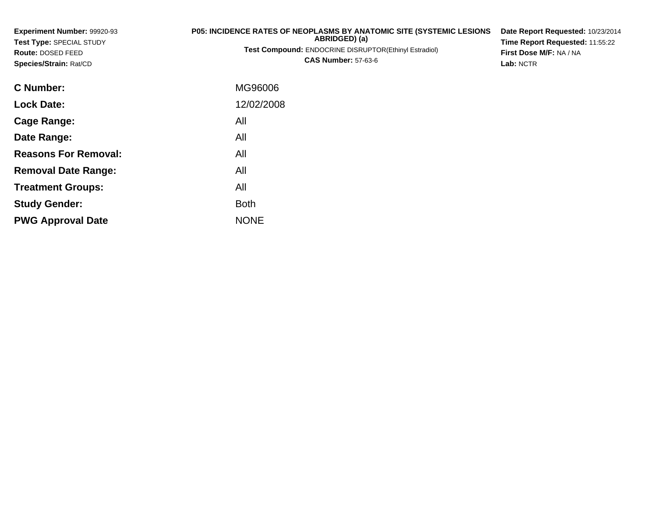| Experiment Number: 99920-93<br>Test Type: SPECIAL STUDY<br>Route: DOSED FEED<br>Species/Strain: Rat/CD | <b>P05: INCIDENCE RATES OF NEOPLASMS BY ANATOMIC SITE (SYSTEMIC LESIONS)</b><br>ABRIDGED) (a)<br><b>Test Compound: ENDOCRINE DISRUPTOR(Ethinyl Estradiol)</b><br><b>CAS Number: 57-63-6</b> | Date Report Requested: 10/23/2014<br>Time Report Requested: 11:55:22<br>First Dose M/F: NA / NA<br>Lab: NCTR |
|--------------------------------------------------------------------------------------------------------|---------------------------------------------------------------------------------------------------------------------------------------------------------------------------------------------|--------------------------------------------------------------------------------------------------------------|
| <b>C</b> Number:                                                                                       | MG96006                                                                                                                                                                                     |                                                                                                              |
| <b>Lock Date:</b>                                                                                      | 12/02/2008                                                                                                                                                                                  |                                                                                                              |
| Cage Range:                                                                                            | All                                                                                                                                                                                         |                                                                                                              |
| Date Range:                                                                                            | All                                                                                                                                                                                         |                                                                                                              |
| <b>Reasons For Removal:</b>                                                                            | All                                                                                                                                                                                         |                                                                                                              |

**Removal Date Range:**

**Treatment Groups:**

**PWG Approval Date**

**Study Gender:**

: All

e NONE

Both

All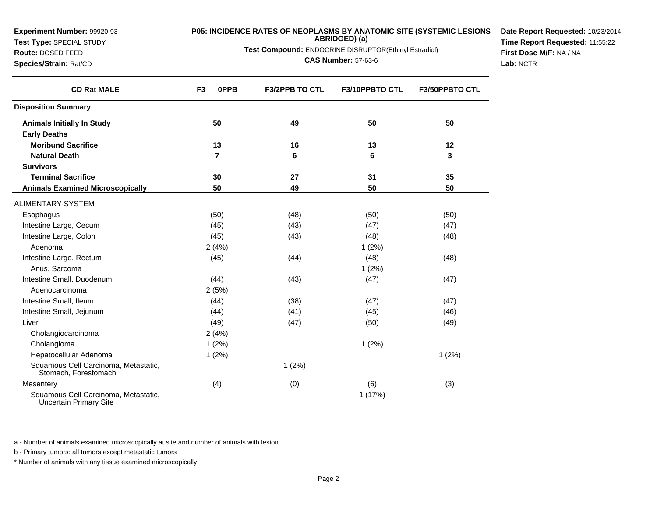**Experiment Number:** 99920-93**Test Type:** SPECIAL STUDY

**Route:** DOSED FEED

**Species/Strain:** Rat/CD

# **P05: INCIDENCE RATES OF NEOPLASMS BY ANATOMIC SITE (SYSTEMIC LESIONS ABRIDGED) (a)**

**Test Compound:** ENDOCRINE DISRUPTOR(Ethinyl Estradiol)

**CAS Number:** 57-63-6

**Date Report Requested:** 10/23/2014**Time Report Requested:** 11:55:22**First Dose M/F:** NA / NA**Lab:** NCTR

| <b>CD Rat MALE</b>                                             | 0PPB<br>F <sub>3</sub> | <b>F3/2PPB TO CTL</b> | <b>F3/10PPBTO CTL</b> | <b>F3/50PPBTO CTL</b> |
|----------------------------------------------------------------|------------------------|-----------------------|-----------------------|-----------------------|
| <b>Disposition Summary</b>                                     |                        |                       |                       |                       |
| <b>Animals Initially In Study</b>                              | 50                     | 49                    | 50                    | 50                    |
| <b>Early Deaths</b>                                            |                        |                       |                       |                       |
| <b>Moribund Sacrifice</b>                                      | 13                     | 16                    | 13                    | 12                    |
| <b>Natural Death</b>                                           | 7                      | 6                     | 6                     | 3                     |
| <b>Survivors</b>                                               |                        |                       |                       |                       |
| <b>Terminal Sacrifice</b>                                      | 30                     | 27                    | 31                    | 35                    |
| <b>Animals Examined Microscopically</b>                        | 50                     | 49                    | 50                    | 50                    |
| <b>ALIMENTARY SYSTEM</b>                                       |                        |                       |                       |                       |
| Esophagus                                                      | (50)                   | (48)                  | (50)                  | (50)                  |
| Intestine Large, Cecum                                         | (45)                   | (43)                  | (47)                  | (47)                  |
| Intestine Large, Colon                                         | (45)                   | (43)                  | (48)                  | (48)                  |
| Adenoma                                                        | 2(4%)                  |                       | 1(2%)                 |                       |
| Intestine Large, Rectum                                        | (45)                   | (44)                  | (48)                  | (48)                  |
| Anus, Sarcoma                                                  |                        |                       | 1(2%)                 |                       |
| Intestine Small, Duodenum                                      | (44)                   | (43)                  | (47)                  | (47)                  |
| Adenocarcinoma                                                 | 2(5%)                  |                       |                       |                       |
| Intestine Small, Ileum                                         | (44)                   | (38)                  | (47)                  | (47)                  |
| Intestine Small, Jejunum                                       | (44)                   | (41)                  | (45)                  | (46)                  |
| Liver                                                          | (49)                   | (47)                  | (50)                  | (49)                  |
| Cholangiocarcinoma                                             | 2(4%)                  |                       |                       |                       |
| Cholangioma                                                    | 1(2%)                  |                       | 1(2%)                 |                       |
| Hepatocellular Adenoma                                         | 1(2%)                  |                       |                       | 1(2%)                 |
| Squamous Cell Carcinoma, Metastatic,<br>Stomach, Forestomach   |                        | 1(2%)                 |                       |                       |
| Mesentery                                                      | (4)                    | (0)                   | (6)                   | (3)                   |
| Squamous Cell Carcinoma, Metastatic,<br>Uncertain Primary Site |                        |                       | 1(17%)                |                       |

a - Number of animals examined microscopically at site and number of animals with lesion

b - Primary tumors: all tumors except metastatic tumors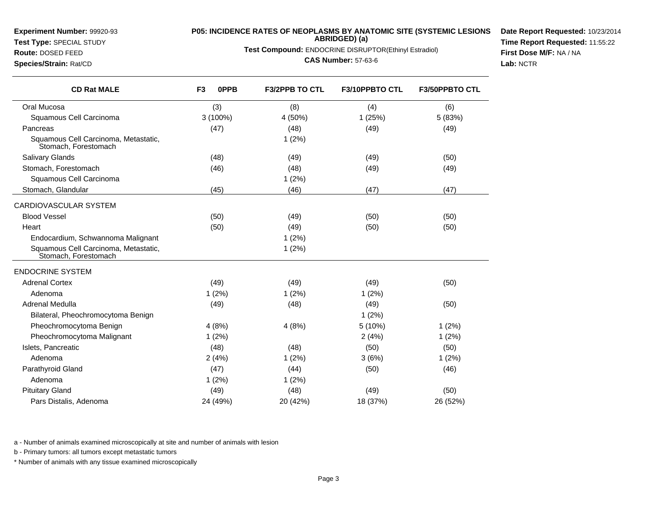**Test Type:** SPECIAL STUDY**Route:** DOSED FEED

**Species/Strain:** Rat/CD

### **P05: INCIDENCE RATES OF NEOPLASMS BY ANATOMIC SITE (SYSTEMIC LESIONSABRIDGED) (a)**

**Test Compound:** ENDOCRINE DISRUPTOR(Ethinyl Estradiol)

**CAS Number:** 57-63-6

**Date Report Requested:** 10/23/2014**Time Report Requested:** 11:55:22**First Dose M/F:** NA / NA**Lab:** NCTR

| <b>CD Rat MALE</b>                                           | F <sub>3</sub><br><b>OPPB</b> | <b>F3/2PPB TO CTL</b> | F3/10PPBTO CTL | <b>F3/50PPBTO CTL</b> |
|--------------------------------------------------------------|-------------------------------|-----------------------|----------------|-----------------------|
| Oral Mucosa                                                  | (3)                           | (8)                   | (4)            | (6)                   |
| Squamous Cell Carcinoma                                      | 3 (100%)                      | 4 (50%)               | 1(25%)         | 5 (83%)               |
| Pancreas                                                     | (47)                          | (48)                  | (49)           | (49)                  |
| Squamous Cell Carcinoma, Metastatic,<br>Stomach, Forestomach |                               | 1(2%)                 |                |                       |
| <b>Salivary Glands</b>                                       | (48)                          | (49)                  | (49)           | (50)                  |
| Stomach, Forestomach                                         | (46)                          | (48)                  | (49)           | (49)                  |
| Squamous Cell Carcinoma                                      |                               | 1(2%)                 |                |                       |
| Stomach, Glandular                                           | (45)                          | (46)                  | (47)           | (47)                  |
| CARDIOVASCULAR SYSTEM                                        |                               |                       |                |                       |
| <b>Blood Vessel</b>                                          | (50)                          | (49)                  | (50)           | (50)                  |
| Heart                                                        | (50)                          | (49)                  | (50)           | (50)                  |
| Endocardium, Schwannoma Malignant                            |                               | 1(2%)                 |                |                       |
| Squamous Cell Carcinoma, Metastatic,<br>Stomach, Forestomach |                               | 1(2%)                 |                |                       |
| <b>ENDOCRINE SYSTEM</b>                                      |                               |                       |                |                       |
| <b>Adrenal Cortex</b>                                        | (49)                          | (49)                  | (49)           | (50)                  |
| Adenoma                                                      | 1(2%)                         | 1(2%)                 | 1(2%)          |                       |
| Adrenal Medulla                                              | (49)                          | (48)                  | (49)           | (50)                  |
| Bilateral, Pheochromocytoma Benign                           |                               |                       | 1(2%)          |                       |
| Pheochromocytoma Benign                                      | 4(8%)                         | 4(8%)                 | 5 (10%)        | 1(2%)                 |
| Pheochromocytoma Malignant                                   | 1(2%)                         |                       | 2(4%)          | 1(2%)                 |
| Islets, Pancreatic                                           | (48)                          | (48)                  | (50)           | (50)                  |
| Adenoma                                                      | 2(4%)                         | 1(2%)                 | 3(6%)          | 1(2%)                 |
| Parathyroid Gland                                            | (47)                          | (44)                  | (50)           | (46)                  |
| Adenoma                                                      | 1(2%)                         | 1(2%)                 |                |                       |
| <b>Pituitary Gland</b>                                       | (49)                          | (48)                  | (49)           | (50)                  |
| Pars Distalis, Adenoma                                       | 24 (49%)                      | 20 (42%)              | 18 (37%)       | 26 (52%)              |

a - Number of animals examined microscopically at site and number of animals with lesion

b - Primary tumors: all tumors except metastatic tumors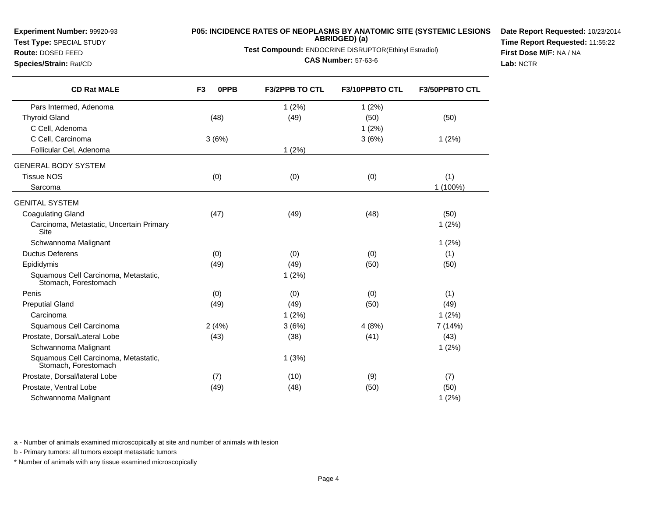**Test Type:** SPECIAL STUDY**Route:** DOSED FEED

**Species/Strain:** Rat/CD

# **P05: INCIDENCE RATES OF NEOPLASMS BY ANATOMIC SITE (SYSTEMIC LESIONS ABRIDGED) (a)**

**Test Compound:** ENDOCRINE DISRUPTOR(Ethinyl Estradiol)

**CAS Number:** 57-63-6

**Date Report Requested:** 10/23/2014**Time Report Requested:** 11:55:22**First Dose M/F:** NA / NA**Lab:** NCTR

| <b>CD Rat MALE</b>                                           | 0PPB<br>F <sub>3</sub> | <b>F3/2PPB TO CTL</b> | <b>F3/10PPBTO CTL</b> | <b>F3/50PPBTO CTL</b> |
|--------------------------------------------------------------|------------------------|-----------------------|-----------------------|-----------------------|
| Pars Intermed, Adenoma                                       |                        | 1(2%)                 | 1(2%)                 |                       |
| <b>Thyroid Gland</b>                                         | (48)                   | (49)                  | (50)                  | (50)                  |
| C Cell, Adenoma                                              |                        |                       | 1(2%)                 |                       |
| C Cell, Carcinoma                                            | 3(6%)                  |                       | 3(6%)                 | 1(2%)                 |
| Follicular Cel, Adenoma                                      |                        | 1(2%)                 |                       |                       |
| <b>GENERAL BODY SYSTEM</b>                                   |                        |                       |                       |                       |
| <b>Tissue NOS</b>                                            | (0)                    | (0)                   | (0)                   | (1)                   |
| Sarcoma                                                      |                        |                       |                       | 1 (100%)              |
| <b>GENITAL SYSTEM</b>                                        |                        |                       |                       |                       |
| <b>Coagulating Gland</b>                                     | (47)                   | (49)                  | (48)                  | (50)                  |
| Carcinoma, Metastatic, Uncertain Primary<br>Site             |                        |                       |                       | 1(2%)                 |
| Schwannoma Malignant                                         |                        |                       |                       | 1(2%)                 |
| <b>Ductus Deferens</b>                                       | (0)                    | (0)                   | (0)                   | (1)                   |
| Epididymis                                                   | (49)                   | (49)                  | (50)                  | (50)                  |
| Squamous Cell Carcinoma, Metastatic,<br>Stomach, Forestomach |                        | 1(2%)                 |                       |                       |
| Penis                                                        | (0)                    | (0)                   | (0)                   | (1)                   |
| <b>Preputial Gland</b>                                       | (49)                   | (49)                  | (50)                  | (49)                  |
| Carcinoma                                                    |                        | 1(2%)                 |                       | 1(2%)                 |
| Squamous Cell Carcinoma                                      | 2(4%)                  | 3(6%)                 | 4(8%)                 | 7 (14%)               |
| Prostate, Dorsal/Lateral Lobe                                | (43)                   | (38)                  | (41)                  | (43)                  |
| Schwannoma Malignant                                         |                        |                       |                       | 1(2%)                 |
| Squamous Cell Carcinoma, Metastatic,<br>Stomach, Forestomach |                        | 1(3%)                 |                       |                       |
| Prostate, Dorsal/lateral Lobe                                | (7)                    | (10)                  | (9)                   | (7)                   |
| Prostate, Ventral Lobe                                       | (49)                   | (48)                  | (50)                  | (50)                  |
| Schwannoma Malignant                                         |                        |                       |                       | 1(2%)                 |

a - Number of animals examined microscopically at site and number of animals with lesion

b - Primary tumors: all tumors except metastatic tumors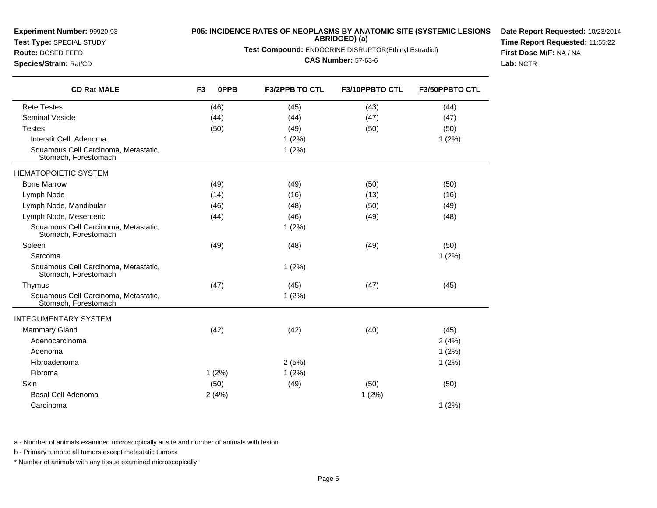| <b>Experiment Number: 99920-93</b><br>Test Type: SPECIAL STUDY<br>Route: DOSED FEED<br>Species/Strain: Rat/CD | <b>P05: INCIDENCE RATES OF NEOPLASMS BY ANATOMIC SITE (SYSTEMIC LESIONS</b><br>ABRIDGED) (a)<br>Test Compound: ENDOCRINE DISRUPTOR(Ethinyl Estradiol)<br><b>CAS Number: 57-63-6</b> |             |                |                |                | Date Report Requested: 10/23/201<br>Time Report Requested: 11:55:22<br>First Dose M/F: NA / NA<br>Lab: NCTR |
|---------------------------------------------------------------------------------------------------------------|-------------------------------------------------------------------------------------------------------------------------------------------------------------------------------------|-------------|----------------|----------------|----------------|-------------------------------------------------------------------------------------------------------------|
| <b>CD Rat MALE</b>                                                                                            | F <sub>3</sub>                                                                                                                                                                      | <b>OPPB</b> | F3/2PPB TO CTL | F3/10PPBTO CTL | F3/50PPBTO CTL |                                                                                                             |
| <b>Rete Testes</b>                                                                                            |                                                                                                                                                                                     | (46)        | (45)           | (43)           | (44)           |                                                                                                             |
| <b>Seminal Vesicle</b>                                                                                        |                                                                                                                                                                                     | (44)        | (44)           | (47)           | (47)           |                                                                                                             |
| <b>Testes</b>                                                                                                 |                                                                                                                                                                                     | (50)        | (49)           | (50)           | (50)           |                                                                                                             |
| Interstit Cell, Adenoma                                                                                       |                                                                                                                                                                                     |             | 1(2%)          |                | 1(2%)          |                                                                                                             |
| Squamous Cell Carcinoma, Metastatic,<br>Stomach, Forestomach                                                  |                                                                                                                                                                                     |             | 1(2%)          |                |                |                                                                                                             |
| <b>HEMATOPOIETIC SYSTEM</b>                                                                                   |                                                                                                                                                                                     |             |                |                |                |                                                                                                             |
| <b>Bone Marrow</b>                                                                                            |                                                                                                                                                                                     | (49)        | (49)           | (50)           | (50)           |                                                                                                             |
| Lymph Node                                                                                                    |                                                                                                                                                                                     | (14)        | (16)           | (13)           | (16)           |                                                                                                             |
| Lymph Node, Mandibular                                                                                        |                                                                                                                                                                                     | (46)        | (48)           | (50)           | (49)           |                                                                                                             |
| Lymph Node, Mesenteric                                                                                        |                                                                                                                                                                                     | (44)        | (46)           | (49)           | (48)           |                                                                                                             |
| Squamous Cell Carcinoma, Metastatic,<br>Stomach, Forestomach                                                  |                                                                                                                                                                                     |             | 1(2%)          |                |                |                                                                                                             |
| Spleen                                                                                                        |                                                                                                                                                                                     | (49)        | (48)           | (49)           | (50)           |                                                                                                             |
| Sarcoma                                                                                                       |                                                                                                                                                                                     |             |                |                | 1(2%)          |                                                                                                             |
| Squamous Cell Carcinoma, Metastatic,<br>Stomach, Forestomach                                                  |                                                                                                                                                                                     |             | 1(2%)          |                |                |                                                                                                             |
| Thymus                                                                                                        |                                                                                                                                                                                     | (47)        | (45)           | (47)           | (45)           |                                                                                                             |
| Squamous Cell Carcinoma, Metastatic,<br>Stomach, Forestomach                                                  |                                                                                                                                                                                     |             | 1(2%)          |                |                |                                                                                                             |
| <b>INTEGUMENTARY SYSTEM</b>                                                                                   |                                                                                                                                                                                     |             |                |                |                |                                                                                                             |
| <b>Mammary Gland</b>                                                                                          |                                                                                                                                                                                     | (42)        | (42)           | (40)           | (45)           |                                                                                                             |
| Adenocarcinoma                                                                                                |                                                                                                                                                                                     |             |                |                | 2(4%)          |                                                                                                             |
| Adenoma                                                                                                       |                                                                                                                                                                                     |             |                |                | 1(2%)          |                                                                                                             |
| Fibroadenoma                                                                                                  |                                                                                                                                                                                     |             | 2(5%)          |                | 1(2%)          |                                                                                                             |
| Fibroma                                                                                                       |                                                                                                                                                                                     | 1(2%)       | 1(2%)          |                |                |                                                                                                             |
| Skin                                                                                                          |                                                                                                                                                                                     | (50)        | (49)           | (50)           | (50)           |                                                                                                             |
| <b>Basal Cell Adenoma</b>                                                                                     |                                                                                                                                                                                     | 2(4%)       |                | 1(2%)          |                |                                                                                                             |
| Carcinoma                                                                                                     |                                                                                                                                                                                     |             |                |                | 1(2%)          |                                                                                                             |

a - Number of animals examined microscopically at site and number of animals with lesion

b - Primary tumors: all tumors except metastatic tumors

**Experiment Number:** 99920-93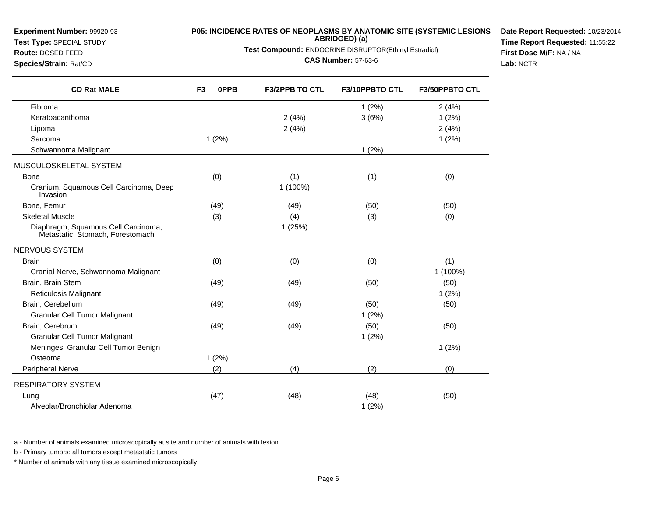## **Test Type:** SPECIAL STUDY

## **Route:** DOSED FEED

**Species/Strain:** Rat/CD

**P05: INCIDENCE RATES OF NEOPLASMS BY ANATOMIC SITE (SYSTEMIC LESIONSABRIDGED) (a)**

**Test Compound:** ENDOCRINE DISRUPTOR(Ethinyl Estradiol)

**CAS Number:** 57-63-6

**Date Report Requested:** 10/23/2014**Time Report Requested:** 11:55:22**First Dose M/F:** NA / NA**Lab:** NCTR

| <b>CD Rat MALE</b>                                                      | F <sub>3</sub><br>0PPB | <b>F3/2PPB TO CTL</b> | F3/10PPBTO CTL | F3/50PPBTO CTL |
|-------------------------------------------------------------------------|------------------------|-----------------------|----------------|----------------|
| Fibroma                                                                 |                        |                       | 1(2%)          | 2(4%)          |
| Keratoacanthoma                                                         |                        | 2(4%)                 | 3(6%)          | 1(2%)          |
| Lipoma                                                                  |                        | 2(4%)                 |                | 2(4%)          |
| Sarcoma                                                                 | 1(2%)                  |                       |                | 1(2%)          |
| Schwannoma Malignant                                                    |                        |                       | 1(2%)          |                |
| MUSCULOSKELETAL SYSTEM                                                  |                        |                       |                |                |
| <b>Bone</b>                                                             | (0)                    | (1)                   | (1)            | (0)            |
| Cranium, Squamous Cell Carcinoma, Deep<br>Invasion                      |                        | 1 (100%)              |                |                |
| Bone, Femur                                                             | (49)                   | (49)                  | (50)           | (50)           |
| <b>Skeletal Muscle</b>                                                  | (3)                    | (4)                   | (3)            | (0)            |
| Diaphragm, Squamous Cell Carcinoma,<br>Metastatic, Stomach, Forestomach |                        | 1(25%)                |                |                |
| NERVOUS SYSTEM                                                          |                        |                       |                |                |
| <b>Brain</b>                                                            | (0)                    | (0)                   | (0)            | (1)            |
| Cranial Nerve, Schwannoma Malignant                                     |                        |                       |                | 1 (100%)       |
| Brain, Brain Stem                                                       | (49)                   | (49)                  | (50)           | (50)           |
| Reticulosis Malignant                                                   |                        |                       |                | 1(2%)          |
| Brain, Cerebellum                                                       | (49)                   | (49)                  | (50)           | (50)           |
| Granular Cell Tumor Malignant                                           |                        |                       | 1(2%)          |                |
| Brain, Cerebrum                                                         | (49)                   | (49)                  | (50)           | (50)           |
| <b>Granular Cell Tumor Malignant</b>                                    |                        |                       | 1(2%)          |                |
| Meninges, Granular Cell Tumor Benign                                    |                        |                       |                | 1(2%)          |
| Osteoma                                                                 | 1(2%)                  |                       |                |                |
| Peripheral Nerve                                                        | (2)                    | (4)                   | (2)            | (0)            |
| <b>RESPIRATORY SYSTEM</b>                                               |                        |                       |                |                |
| Lung                                                                    | (47)                   | (48)                  | (48)           | (50)           |
| Alveolar/Bronchiolar Adenoma                                            |                        |                       | 1(2%)          |                |

a - Number of animals examined microscopically at site and number of animals with lesion

b - Primary tumors: all tumors except metastatic tumors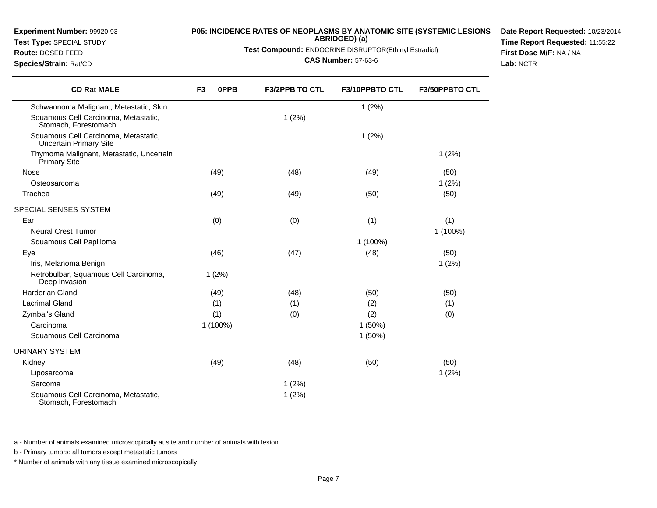**Test Type:** SPECIAL STUDY

# **P05: INCIDENCE RATES OF NEOPLASMS BY ANATOMIC SITE (SYSTEMIC LESIONS ABRIDGED) (a)**

**Test Compound:** ENDOCRINE DISRUPTOR(Ethinyl Estradiol)

#### **CAS Number:** 57-63-6

**Date Report Requested:** 10/23/2014**Time Report Requested:** 11:55:22**First Dose M/F:** NA / NA**Lab:** NCTR

|  | Species/Strain: Rat/CD |  |
|--|------------------------|--|
|--|------------------------|--|

**Route:** DOSED FEED

 $\overline{\phantom{0}}$ 

| <b>CD Rat MALE</b>                                              | F <sub>3</sub><br>0PPB | <b>F3/2PPB TO CTL</b> | F3/10PPBTO CTL | <b>F3/50PPBTO CTL</b> |
|-----------------------------------------------------------------|------------------------|-----------------------|----------------|-----------------------|
| Schwannoma Malignant, Metastatic, Skin                          |                        |                       | 1(2%)          |                       |
| Squamous Cell Carcinoma, Metastatic,<br>Stomach, Forestomach    |                        | 1(2%)                 |                |                       |
| Squamous Cell Carcinoma, Metastatic,<br>Uncertain Primary Site  |                        |                       | 1(2%)          |                       |
| Thymoma Malignant, Metastatic, Uncertain<br><b>Primary Site</b> |                        |                       |                | 1(2%)                 |
| Nose                                                            | (49)                   | (48)                  | (49)           | (50)                  |
| Osteosarcoma                                                    |                        |                       |                | 1(2%)                 |
| Trachea                                                         | (49)                   | (49)                  | (50)           | (50)                  |
| SPECIAL SENSES SYSTEM                                           |                        |                       |                |                       |
| Ear                                                             | (0)                    | (0)                   | (1)            | (1)                   |
| <b>Neural Crest Tumor</b>                                       |                        |                       |                | 1 (100%)              |
| Squamous Cell Papilloma                                         |                        |                       | 1 (100%)       |                       |
| Eye                                                             | (46)                   | (47)                  | (48)           | (50)                  |
| Iris, Melanoma Benign                                           |                        |                       |                | 1(2%)                 |
| Retrobulbar, Squamous Cell Carcinoma,<br>Deep Invasion          | 1(2%)                  |                       |                |                       |
| <b>Harderian Gland</b>                                          | (49)                   | (48)                  | (50)           | (50)                  |
| <b>Lacrimal Gland</b>                                           | (1)                    | (1)                   | (2)            | (1)                   |
| Zymbal's Gland                                                  | (1)                    | (0)                   | (2)            | (0)                   |
| Carcinoma                                                       | 1 (100%)               |                       | 1 (50%)        |                       |
| Squamous Cell Carcinoma                                         |                        |                       | 1(50%)         |                       |
| URINARY SYSTEM                                                  |                        |                       |                |                       |
| Kidney                                                          | (49)                   | (48)                  | (50)           | (50)                  |
| Liposarcoma                                                     |                        |                       |                | 1(2%)                 |
| Sarcoma                                                         |                        | 1(2%)                 |                |                       |
| Squamous Cell Carcinoma, Metastatic,<br>Stomach, Forestomach    |                        | 1(2%)                 |                |                       |

a - Number of animals examined microscopically at site and number of animals with lesion

b - Primary tumors: all tumors except metastatic tumors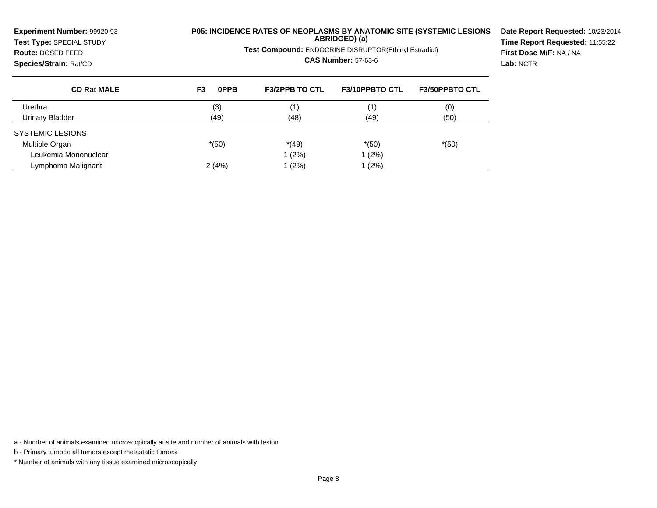| <b>Experiment Number: 99920-93</b><br>Test Type: SPECIAL STUDY<br>Route: DOSED FEED<br>Species/Strain: Rat/CD |            | <b>Test Compound: ENDOCRINE DISRUPTOR(Ethinyl Estradiol)</b> | ABRIDGED) (a)<br><b>CAS Number: 57-63-6</b> | <b>P05: INCIDENCE RATES OF NEOPLASMS BY ANATOMIC SITE (SYSTEMIC LESIONS</b> | Date Report Requested: 10/23/2014<br>Time Report Requested: 11:55:22<br>First Dose M/F: NA / NA<br>Lab: NCTR |
|---------------------------------------------------------------------------------------------------------------|------------|--------------------------------------------------------------|---------------------------------------------|-----------------------------------------------------------------------------|--------------------------------------------------------------------------------------------------------------|
| <b>CD Rat MALE</b>                                                                                            | 0PPB<br>F3 | <b>F3/2PPB TO CTL</b>                                        | <b>F3/10PPBTO CTL</b>                       | <b>F3/50PPBTO CTL</b>                                                       |                                                                                                              |
| Urethra                                                                                                       | (3)        | (1)                                                          | (1)                                         | (0)                                                                         |                                                                                                              |
| Urinary Bladder                                                                                               | (49)       | (48)                                                         | (49)                                        | (50)                                                                        |                                                                                                              |
| SYSTEMIC LESIONS                                                                                              |            |                                                              |                                             |                                                                             |                                                                                                              |
| Multiple Organ                                                                                                | $*(50)$    | $*(49)$                                                      | $*(50)$                                     | $*(50)$                                                                     |                                                                                                              |
| Leukemia Mononuclear                                                                                          |            | 1 (2%)                                                       | 1(2%)                                       |                                                                             |                                                                                                              |
| Lymphoma Malignant                                                                                            | 2(4%)      | (2%)                                                         | 1 (2%)                                      |                                                                             |                                                                                                              |

a - Number of animals examined microscopically at site and number of animals with lesion

b - Primary tumors: all tumors except metastatic tumors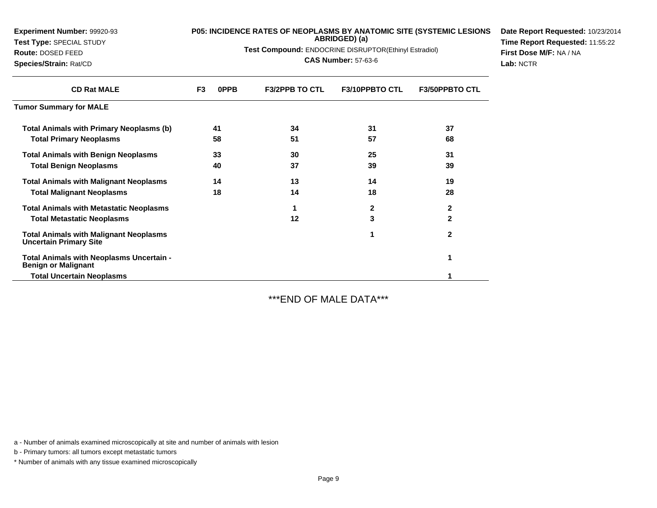| <b>Experiment Number: 99920-93</b><br>Test Type: SPECIAL STUDY<br>Route: DOSED FEED<br>Species/Strain: Rat/CD |                | P05: INCIDENCE RATES OF NEOPLASMS BY ANATOMIC SITE (SYSTEMIC LESIONS<br>Test Compound: ENDOCRINE DISRUPTOR(Ethinyl Estradiol) | Date Report Requested: 10/23/2014<br>Time Report Requested: 11:55:22<br>First Dose M/F: NA / NA<br>Lab: NCTR |                       |                       |  |
|---------------------------------------------------------------------------------------------------------------|----------------|-------------------------------------------------------------------------------------------------------------------------------|--------------------------------------------------------------------------------------------------------------|-----------------------|-----------------------|--|
| <b>CD Rat MALE</b>                                                                                            | F <sub>3</sub> | 0PPB                                                                                                                          | <b>F3/2PPB TO CTL</b>                                                                                        | <b>F3/10PPBTO CTL</b> | <b>F3/50PPBTO CTL</b> |  |
| <b>Tumor Summary for MALE</b>                                                                                 |                |                                                                                                                               |                                                                                                              |                       |                       |  |
| <b>Total Animals with Primary Neoplasms (b)</b>                                                               |                | 41                                                                                                                            | 34                                                                                                           | 31                    | 37                    |  |
| <b>Total Primary Neoplasms</b>                                                                                |                | 58                                                                                                                            | 51                                                                                                           | 57                    | 68                    |  |
| <b>Total Animals with Benign Neoplasms</b>                                                                    |                | 33                                                                                                                            | 30                                                                                                           | 25                    | 31                    |  |
| <b>Total Benign Neoplasms</b>                                                                                 |                | 40                                                                                                                            | 37                                                                                                           | 39                    | 39                    |  |
| <b>Total Animals with Malignant Neoplasms</b>                                                                 |                | 14                                                                                                                            | 13                                                                                                           | 14                    | 19                    |  |
| <b>Total Malignant Neoplasms</b>                                                                              |                | 18                                                                                                                            | 14                                                                                                           | 18                    | 28                    |  |
| <b>Total Animals with Metastatic Neoplasms</b>                                                                |                |                                                                                                                               |                                                                                                              | 2                     | $\mathbf{2}$          |  |
| <b>Total Metastatic Neoplasms</b>                                                                             |                |                                                                                                                               | 12                                                                                                           | 3                     | $\mathbf{2}$          |  |
| <b>Total Animals with Malignant Neoplasms</b><br><b>Uncertain Primary Site</b>                                |                |                                                                                                                               |                                                                                                              | 1                     | $\mathbf{2}$          |  |
| Total Animals with Neoplasms Uncertain -<br><b>Benign or Malignant</b>                                        |                |                                                                                                                               |                                                                                                              |                       |                       |  |

 **Total Uncertain Neoplasms<sup>1</sup>**

\*\*\*END OF MALE DATA\*\*\*

a - Number of animals examined microscopically at site and number of animals with lesion

b - Primary tumors: all tumors except metastatic tumors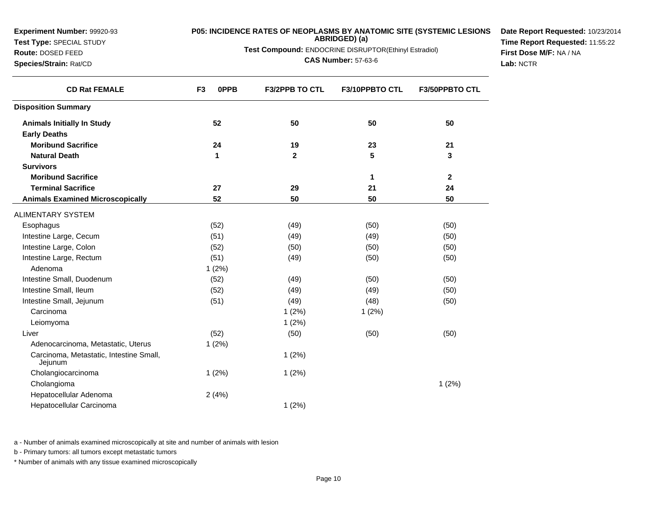**Test Type:** SPECIAL STUDY**Route:** DOSED FEED

**Species/Strain:** Rat/CD

### **P05: INCIDENCE RATES OF NEOPLASMS BY ANATOMIC SITE (SYSTEMIC LESIONSABRIDGED) (a)**

**Test Compound:** ENDOCRINE DISRUPTOR(Ethinyl Estradiol)

**CAS Number:** 57-63-6

**Date Report Requested:** 10/23/2014**Time Report Requested:** 11:55:22**First Dose M/F:** NA / NA**Lab:** NCTR

| <b>CD Rat FEMALE</b>                               | F <sub>3</sub><br><b>OPPB</b> | <b>F3/2PPB TO CTL</b> | F3/10PPBTO CTL | <b>F3/50PPBTO CTL</b> |
|----------------------------------------------------|-------------------------------|-----------------------|----------------|-----------------------|
| <b>Disposition Summary</b>                         |                               |                       |                |                       |
| <b>Animals Initially In Study</b>                  | 52                            | 50                    | 50             | 50                    |
| <b>Early Deaths</b>                                |                               |                       |                |                       |
| <b>Moribund Sacrifice</b>                          | 24                            | 19                    | 23             | 21                    |
| <b>Natural Death</b>                               | 1                             | $\mathbf{2}$          | 5              | 3                     |
| <b>Survivors</b>                                   |                               |                       |                |                       |
| <b>Moribund Sacrifice</b>                          |                               |                       | 1              | 2                     |
| <b>Terminal Sacrifice</b>                          | 27                            | 29                    | 21             | 24                    |
| <b>Animals Examined Microscopically</b>            | 52                            | 50                    | 50             | 50                    |
| <b>ALIMENTARY SYSTEM</b>                           |                               |                       |                |                       |
| Esophagus                                          | (52)                          | (49)                  | (50)           | (50)                  |
| Intestine Large, Cecum                             | (51)                          | (49)                  | (49)           | (50)                  |
| Intestine Large, Colon                             | (52)                          | (50)                  | (50)           | (50)                  |
| Intestine Large, Rectum                            | (51)                          | (49)                  | (50)           | (50)                  |
| Adenoma                                            | 1(2%)                         |                       |                |                       |
| Intestine Small, Duodenum                          | (52)                          | (49)                  | (50)           | (50)                  |
| Intestine Small, Ileum                             | (52)                          | (49)                  | (49)           | (50)                  |
| Intestine Small, Jejunum                           | (51)                          | (49)                  | (48)           | (50)                  |
| Carcinoma                                          |                               | 1(2%)                 | 1(2%)          |                       |
| Leiomyoma                                          |                               | 1(2%)                 |                |                       |
| Liver                                              | (52)                          | (50)                  | (50)           | (50)                  |
| Adenocarcinoma, Metastatic, Uterus                 | 1(2%)                         |                       |                |                       |
| Carcinoma, Metastatic, Intestine Small,<br>Jejunum |                               | 1(2%)                 |                |                       |
| Cholangiocarcinoma                                 | 1(2%)                         | 1(2%)                 |                |                       |
| Cholangioma                                        |                               |                       |                | 1(2%)                 |
| Hepatocellular Adenoma                             | 2(4%)                         |                       |                |                       |
| Hepatocellular Carcinoma                           |                               | 1(2%)                 |                |                       |

a - Number of animals examined microscopically at site and number of animals with lesion

b - Primary tumors: all tumors except metastatic tumors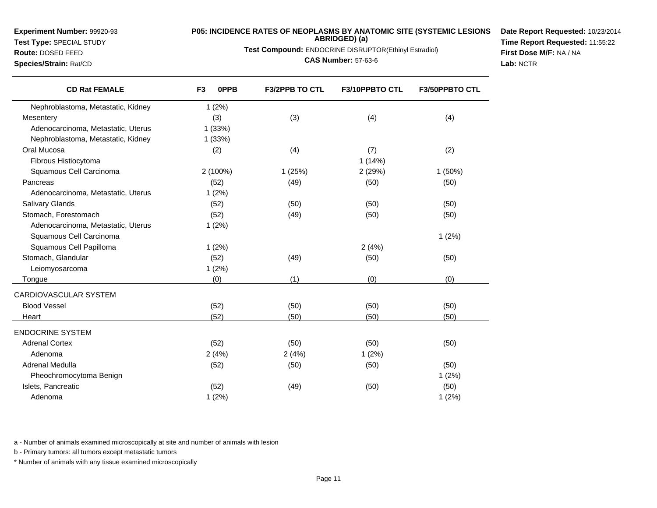**Test Type:** SPECIAL STUDY

## **Route:** DOSED FEED

**Species/Strain:** Rat/CD

# **P05: INCIDENCE RATES OF NEOPLASMS BY ANATOMIC SITE (SYSTEMIC LESIONS ABRIDGED) (a)**

**Test Compound:** ENDOCRINE DISRUPTOR(Ethinyl Estradiol)

**CAS Number:** 57-63-6

**Date Report Requested:** 10/23/2014**Time Report Requested:** 11:55:22**First Dose M/F:** NA / NA**Lab:** NCTR

| <b>CD Rat FEMALE</b>               | 0PPB<br>F <sub>3</sub> | <b>F3/2PPB TO CTL</b> | F3/10PPBTO CTL | F3/50PPBTO CTL |
|------------------------------------|------------------------|-----------------------|----------------|----------------|
| Nephroblastoma, Metastatic, Kidney | 1(2%)                  |                       |                |                |
| Mesentery                          | (3)                    | (3)                   | (4)            | (4)            |
| Adenocarcinoma, Metastatic, Uterus | 1(33%)                 |                       |                |                |
| Nephroblastoma, Metastatic, Kidney | 1(33%)                 |                       |                |                |
| Oral Mucosa                        | (2)                    | (4)                   | (7)            | (2)            |
| Fibrous Histiocytoma               |                        |                       | 1(14%)         |                |
| Squamous Cell Carcinoma            | 2 (100%)               | 1(25%)                | 2 (29%)        | 1(50%)         |
| Pancreas                           | (52)                   | (49)                  | (50)           | (50)           |
| Adenocarcinoma, Metastatic, Uterus | 1(2%)                  |                       |                |                |
| <b>Salivary Glands</b>             | (52)                   | (50)                  | (50)           | (50)           |
| Stomach, Forestomach               | (52)                   | (49)                  | (50)           | (50)           |
| Adenocarcinoma, Metastatic, Uterus | 1(2%)                  |                       |                |                |
| Squamous Cell Carcinoma            |                        |                       |                | 1(2%)          |
| Squamous Cell Papilloma            | 1(2%)                  |                       | 2(4%)          |                |
| Stomach, Glandular                 | (52)                   | (49)                  | (50)           | (50)           |
| Leiomyosarcoma                     | 1(2%)                  |                       |                |                |
| Tongue                             | (0)                    | (1)                   | (0)            | (0)            |
| CARDIOVASCULAR SYSTEM              |                        |                       |                |                |
| <b>Blood Vessel</b>                | (52)                   | (50)                  | (50)           | (50)           |
| Heart                              | (52)                   | (50)                  | (50)           | (50)           |
| <b>ENDOCRINE SYSTEM</b>            |                        |                       |                |                |
| <b>Adrenal Cortex</b>              | (52)                   | (50)                  | (50)           | (50)           |
| Adenoma                            | 2(4%)                  | 2(4%)                 | 1(2%)          |                |
| Adrenal Medulla                    | (52)                   | (50)                  | (50)           | (50)           |
| Pheochromocytoma Benign            |                        |                       |                | 1(2%)          |
| Islets, Pancreatic                 | (52)                   | (49)                  | (50)           | (50)           |
| Adenoma                            | 1(2%)                  |                       |                | 1(2%)          |

a - Number of animals examined microscopically at site and number of animals with lesion

b - Primary tumors: all tumors except metastatic tumors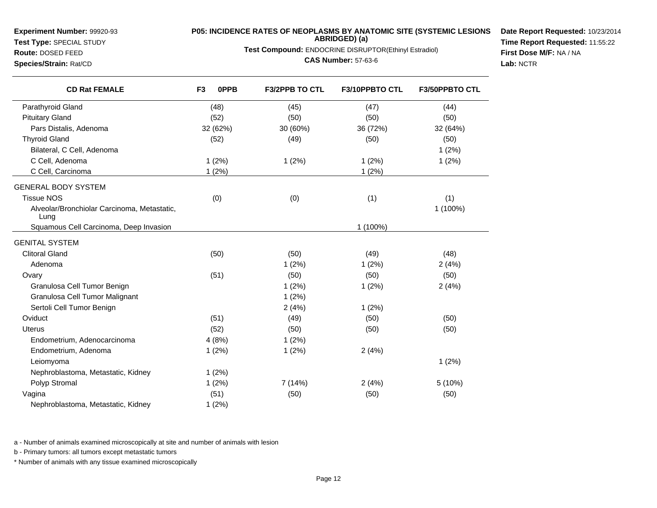## **Test Type:** SPECIAL STUDY**Route:** DOSED FEED

**Species/Strain:** Rat/CD

# **P05: INCIDENCE RATES OF NEOPLASMS BY ANATOMIC SITE (SYSTEMIC LESIONS ABRIDGED) (a)**

**Test Compound:** ENDOCRINE DISRUPTOR(Ethinyl Estradiol)

**CAS Number:** 57-63-6

**Date Report Requested:** 10/23/2014**Time Report Requested:** 11:55:22**First Dose M/F:** NA / NA**Lab:** NCTR

| <b>CD Rat FEMALE</b>                                | F <sub>3</sub><br>0PPB | <b>F3/2PPB TO CTL</b> | <b>F3/10PPBTO CTL</b> | <b>F3/50PPBTO CTL</b> |
|-----------------------------------------------------|------------------------|-----------------------|-----------------------|-----------------------|
| Parathyroid Gland                                   | (48)                   | (45)                  | (47)                  | (44)                  |
| <b>Pituitary Gland</b>                              | (52)                   | (50)                  | (50)                  | (50)                  |
| Pars Distalis, Adenoma                              | 32 (62%)               | 30 (60%)              | 36 (72%)              | 32 (64%)              |
| <b>Thyroid Gland</b>                                | (52)                   | (49)                  | (50)                  | (50)                  |
| Bilateral, C Cell, Adenoma                          |                        |                       |                       | 1(2%)                 |
| C Cell, Adenoma                                     | 1(2%)                  | 1(2%)                 | 1(2%)                 | 1(2%)                 |
| C Cell, Carcinoma                                   | 1(2%)                  |                       | 1(2%)                 |                       |
| <b>GENERAL BODY SYSTEM</b>                          |                        |                       |                       |                       |
| <b>Tissue NOS</b>                                   | (0)                    | (0)                   | (1)                   | (1)                   |
| Alveolar/Bronchiolar Carcinoma, Metastatic,<br>Lung |                        |                       |                       | 1 (100%)              |
| Squamous Cell Carcinoma, Deep Invasion              |                        |                       | 1 (100%)              |                       |
| <b>GENITAL SYSTEM</b>                               |                        |                       |                       |                       |
| <b>Clitoral Gland</b>                               | (50)                   | (50)                  | (49)                  | (48)                  |
| Adenoma                                             |                        | 1(2%)                 | 1(2%)                 | 2(4%)                 |
| Ovary                                               | (51)                   | (50)                  | (50)                  | (50)                  |
| Granulosa Cell Tumor Benign                         |                        | 1(2%)                 | 1(2%)                 | 2(4%)                 |
| Granulosa Cell Tumor Malignant                      |                        | 1(2%)                 |                       |                       |
| Sertoli Cell Tumor Benign                           |                        | 2(4%)                 | 1(2%)                 |                       |
| Oviduct                                             | (51)                   | (49)                  | (50)                  | (50)                  |
| <b>Uterus</b>                                       | (52)                   | (50)                  | (50)                  | (50)                  |
| Endometrium, Adenocarcinoma                         | 4(8%)                  | 1(2%)                 |                       |                       |
| Endometrium, Adenoma                                | 1(2%)                  | 1(2%)                 | 2(4%)                 |                       |
| Leiomyoma                                           |                        |                       |                       | 1(2%)                 |
| Nephroblastoma, Metastatic, Kidney                  | 1(2%)                  |                       |                       |                       |
| Polyp Stromal                                       | 1(2%)                  | 7 (14%)               | 2(4%)                 | 5 (10%)               |
| Vagina                                              | (51)                   | (50)                  | (50)                  | (50)                  |
| Nephroblastoma, Metastatic, Kidney                  | 1(2%)                  |                       |                       |                       |

a - Number of animals examined microscopically at site and number of animals with lesion

b - Primary tumors: all tumors except metastatic tumors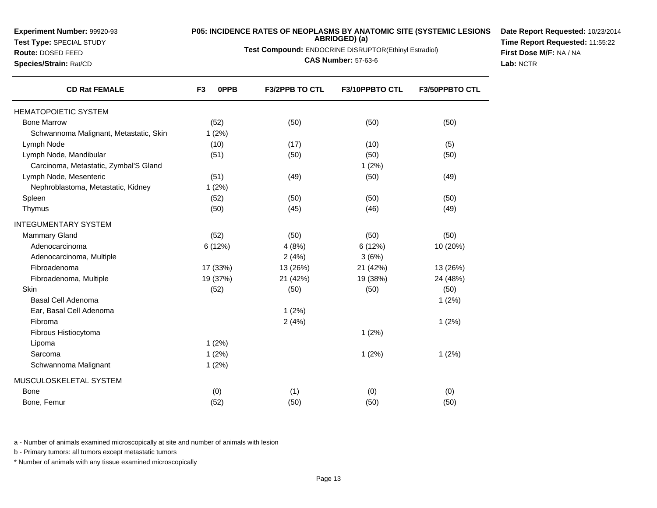**Test Type:** SPECIAL STUDY

### **Route:** DOSED FEED

**Species/Strain:** Rat/CD

### **P05: INCIDENCE RATES OF NEOPLASMS BY ANATOMIC SITE (SYSTEMIC LESIONSABRIDGED) (a)**

**Test Compound:** ENDOCRINE DISRUPTOR(Ethinyl Estradiol)

**CAS Number:** 57-63-6

**Date Report Requested:** 10/23/2014**Time Report Requested:** 11:55:22**First Dose M/F:** NA / NA**Lab:** NCTR

| <b>CD Rat FEMALE</b>                   | F <sub>3</sub><br><b>OPPB</b> | <b>F3/2PPB TO CTL</b> | <b>F3/10PPBTO CTL</b> | <b>F3/50PPBTO CTL</b> |
|----------------------------------------|-------------------------------|-----------------------|-----------------------|-----------------------|
| <b>HEMATOPOIETIC SYSTEM</b>            |                               |                       |                       |                       |
| <b>Bone Marrow</b>                     | (52)                          | (50)                  | (50)                  | (50)                  |
| Schwannoma Malignant, Metastatic, Skin | 1(2%)                         |                       |                       |                       |
| Lymph Node                             | (10)                          | (17)                  | (10)                  | (5)                   |
| Lymph Node, Mandibular                 | (51)                          | (50)                  | (50)                  | (50)                  |
| Carcinoma, Metastatic, Zymbal'S Gland  |                               |                       | 1(2%)                 |                       |
| Lymph Node, Mesenteric                 | (51)                          | (49)                  | (50)                  | (49)                  |
| Nephroblastoma, Metastatic, Kidney     | 1(2%)                         |                       |                       |                       |
| Spleen                                 | (52)                          | (50)                  | (50)                  | (50)                  |
| Thymus                                 | (50)                          | (45)                  | (46)                  | (49)                  |
| <b>INTEGUMENTARY SYSTEM</b>            |                               |                       |                       |                       |
| <b>Mammary Gland</b>                   | (52)                          | (50)                  | (50)                  | (50)                  |
| Adenocarcinoma                         | 6 (12%)                       | 4(8%)                 | 6(12%)                | 10 (20%)              |
| Adenocarcinoma, Multiple               |                               | 2(4%)                 | 3(6%)                 |                       |
| Fibroadenoma                           | 17 (33%)                      | 13 (26%)              | 21 (42%)              | 13 (26%)              |
| Fibroadenoma, Multiple                 | 19 (37%)                      | 21 (42%)              | 19 (38%)              | 24 (48%)              |
| Skin                                   | (52)                          | (50)                  | (50)                  | (50)                  |
| <b>Basal Cell Adenoma</b>              |                               |                       |                       | 1(2%)                 |
| Ear, Basal Cell Adenoma                |                               | 1(2%)                 |                       |                       |
| Fibroma                                |                               | 2(4%)                 |                       | 1(2%)                 |
| Fibrous Histiocytoma                   |                               |                       | 1(2%)                 |                       |
| Lipoma                                 | 1(2%)                         |                       |                       |                       |
| Sarcoma                                | 1(2%)                         |                       | 1(2%)                 | 1(2%)                 |
| Schwannoma Malignant                   | 1(2%)                         |                       |                       |                       |
| MUSCULOSKELETAL SYSTEM                 |                               |                       |                       |                       |
| <b>Bone</b>                            | (0)                           | (1)                   | (0)                   | (0)                   |
| Bone, Femur                            | (52)                          | (50)                  | (50)                  | (50)                  |

a - Number of animals examined microscopically at site and number of animals with lesion

b - Primary tumors: all tumors except metastatic tumors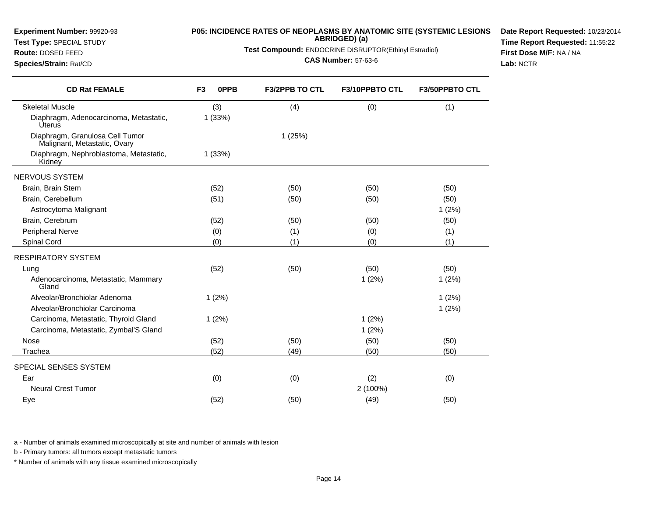| Route: DOSED FEED<br>Species/Strain: Rat/CD                     | Test Compound: ENDOCRINE DISRUPTOR(Ethinyl Estradiol) | First Dose M/F: NA / NA<br>Lab: NCTR |                |                |  |
|-----------------------------------------------------------------|-------------------------------------------------------|--------------------------------------|----------------|----------------|--|
| <b>CD Rat FEMALE</b>                                            | 0PPB<br>F <sub>3</sub>                                | F3/2PPB TO CTL                       | F3/10PPBTO CTL | F3/50PPBTO CTL |  |
| <b>Skeletal Muscle</b>                                          | (3)                                                   | (4)                                  | (0)            | (1)            |  |
| Diaphragm, Adenocarcinoma, Metastatic,<br><b>Úterus</b>         | 1(33%)                                                |                                      |                |                |  |
| Diaphragm, Granulosa Cell Tumor<br>Malignant, Metastatic, Ovary |                                                       | 1(25%)                               |                |                |  |
| Diaphragm, Nephroblastoma, Metastatic,<br>Kidney                | 1(33%)                                                |                                      |                |                |  |
| <b>NERVOUS SYSTEM</b>                                           |                                                       |                                      |                |                |  |
| Brain, Brain Stem                                               | (52)                                                  | (50)                                 | (50)           | (50)           |  |
| Brain, Cerebellum                                               | (51)                                                  | (50)                                 | (50)           | (50)           |  |
| Astrocytoma Malignant                                           |                                                       |                                      |                | 1(2%)          |  |
| Brain, Cerebrum                                                 | (52)                                                  | (50)                                 | (50)           | (50)           |  |
| Peripheral Nerve                                                | (0)                                                   | (1)                                  | (0)            | (1)            |  |
| Spinal Cord                                                     | (0)                                                   | (1)                                  | (0)            | (1)            |  |
| <b>RESPIRATORY SYSTEM</b>                                       |                                                       |                                      |                |                |  |
| Lung                                                            | (52)                                                  | (50)                                 | (50)           | (50)           |  |
| Adenocarcinoma, Metastatic, Mammary<br>Gland                    |                                                       |                                      | 1(2%)          | 1(2%)          |  |
| Alveolar/Bronchiolar Adenoma                                    | 1(2%)                                                 |                                      |                | 1(2%)          |  |
| Alveolar/Bronchiolar Carcinoma                                  |                                                       |                                      |                | 1(2%)          |  |
| Carcinoma, Metastatic, Thyroid Gland                            | 1(2%)                                                 |                                      | 1(2%)          |                |  |
| Carcinoma, Metastatic, Zymbal'S Gland                           |                                                       |                                      | 1(2%)          |                |  |
| Nose                                                            | (52)                                                  | (50)                                 | (50)           | (50)           |  |
| Trachea                                                         | (52)                                                  | (49)                                 | (50)           | (50)           |  |
| SPECIAL SENSES SYSTEM                                           |                                                       |                                      |                |                |  |
| Ear                                                             | (0)                                                   | (0)                                  | (2)            | (0)            |  |
| <b>Neural Crest Tumor</b>                                       |                                                       |                                      | 2 (100%)       |                |  |
| Eye                                                             | (52)                                                  | (50)                                 | (49)           | (50)           |  |

**P05: INCIDENCE RATES OF NEOPLASMS BY ANATOMIC SITE (SYSTEMIC LESIONSABRIDGED) (a)**

**Date Report Requested:** 10/23/2014**Time Report Requested:** 11:55:22

a - Number of animals examined microscopically at site and number of animals with lesion

b - Primary tumors: all tumors except metastatic tumors

**Experiment Number:** 99920-93**Test Type:** SPECIAL STUDY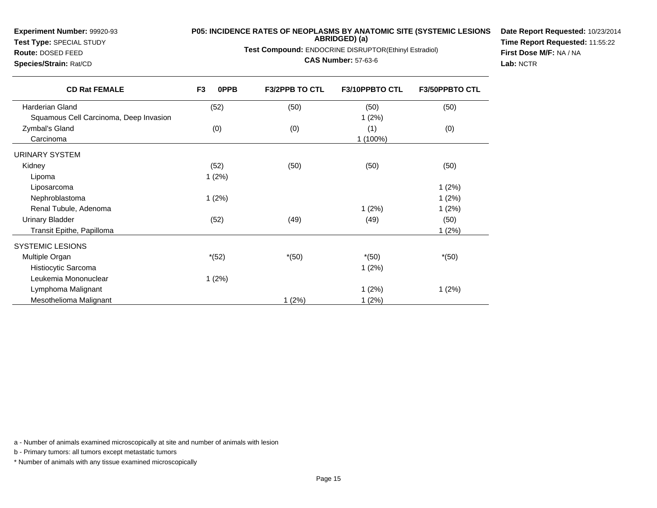**Test Type:** SPECIAL STUDY

### **Route:** DOSED FEED

**Species/Strain:** Rat/CD

### **P05: INCIDENCE RATES OF NEOPLASMS BY ANATOMIC SITE (SYSTEMIC LESIONSABRIDGED) (a)**

**Test Compound:** ENDOCRINE DISRUPTOR(Ethinyl Estradiol)

### **CAS Number:** 57-63-6

**Date Report Requested:** 10/23/2014**Time Report Requested:** 11:55:22**First Dose M/F:** NA / NA**Lab:** NCTR

| <b>CD Rat FEMALE</b>                   | F <sub>3</sub><br><b>OPPB</b> | <b>F3/2PPB TO CTL</b> | F3/10PPBTO CTL | <b>F3/50PPBTO CTL</b> |
|----------------------------------------|-------------------------------|-----------------------|----------------|-----------------------|
| <b>Harderian Gland</b>                 | (52)                          | (50)                  | (50)           | (50)                  |
| Squamous Cell Carcinoma, Deep Invasion |                               |                       | 1(2%)          |                       |
| Zymbal's Gland                         | (0)                           | (0)                   | (1)            | (0)                   |
| Carcinoma                              |                               |                       | 1 (100%)       |                       |
| URINARY SYSTEM                         |                               |                       |                |                       |
| Kidney                                 | (52)                          | (50)                  | (50)           | (50)                  |
| Lipoma                                 | 1(2%)                         |                       |                |                       |
| Liposarcoma                            |                               |                       |                | 1(2%)                 |
| Nephroblastoma                         | 1(2%)                         |                       |                | 1(2%)                 |
| Renal Tubule, Adenoma                  |                               |                       | 1(2%)          | 1(2%)                 |
| <b>Urinary Bladder</b>                 | (52)                          | (49)                  | (49)           | (50)                  |
| Transit Epithe, Papilloma              |                               |                       |                | 1(2%)                 |
| <b>SYSTEMIC LESIONS</b>                |                               |                       |                |                       |
| Multiple Organ                         | $*(52)$                       | $*(50)$               | $*(50)$        | $*(50)$               |
| Histiocytic Sarcoma                    |                               |                       | 1(2%)          |                       |
| Leukemia Mononuclear                   | 1(2%)                         |                       |                |                       |
| Lymphoma Malignant                     |                               |                       | 1(2%)          | 1(2%)                 |
| Mesothelioma Malignant                 |                               | 1(2%)                 | 1(2%)          |                       |

a - Number of animals examined microscopically at site and number of animals with lesion

b - Primary tumors: all tumors except metastatic tumors